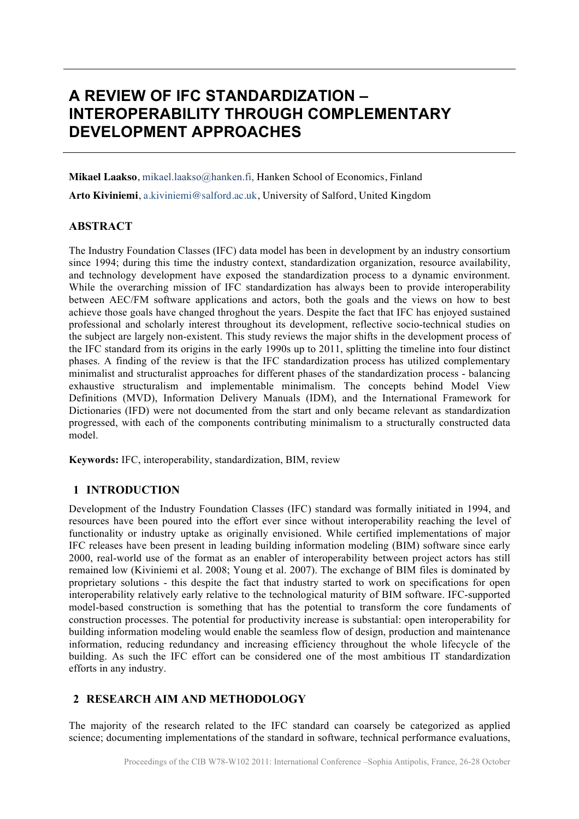# **A REVIEW OF IFC STANDARDIZATION – INTEROPERABILITY THROUGH COMPLEMENTARY DEVELOPMENT APPROACHES**

**Mikael Laakso**, mikael.laakso@hanken.fi, Hanken School of Economics, Finland

**Arto Kiviniemi**, a.kiviniemi@salford.ac.uk, University of Salford, United Kingdom

#### **ABSTRACT**

The Industry Foundation Classes (IFC) data model has been in development by an industry consortium since 1994; during this time the industry context, standardization organization, resource availability, and technology development have exposed the standardization process to a dynamic environment. While the overarching mission of IFC standardization has always been to provide interoperability between AEC/FM software applications and actors, both the goals and the views on how to best achieve those goals have changed throghout the years. Despite the fact that IFC has enjoyed sustained professional and scholarly interest throughout its development, reflective socio-technical studies on the subject are largely non-existent. This study reviews the major shifts in the development process of the IFC standard from its origins in the early 1990s up to 2011, splitting the timeline into four distinct phases. A finding of the review is that the IFC standardization process has utilized complementary minimalist and structuralist approaches for different phases of the standardization process - balancing exhaustive structuralism and implementable minimalism. The concepts behind Model View Definitions (MVD), Information Delivery Manuals (IDM), and the International Framework for Dictionaries (IFD) were not documented from the start and only became relevant as standardization progressed, with each of the components contributing minimalism to a structurally constructed data model.

**Keywords:** IFC, interoperability, standardization, BIM, review

## **1 INTRODUCTION**

Development of the Industry Foundation Classes (IFC) standard was formally initiated in 1994, and resources have been poured into the effort ever since without interoperability reaching the level of functionality or industry uptake as originally envisioned. While certified implementations of major IFC releases have been present in leading building information modeling (BIM) software since early 2000, real-world use of the format as an enabler of interoperability between project actors has still remained low (Kiviniemi et al. 2008; Young et al. 2007). The exchange of BIM files is dominated by proprietary solutions - this despite the fact that industry started to work on specifications for open interoperability relatively early relative to the technological maturity of BIM software. IFC-supported model-based construction is something that has the potential to transform the core fundaments of construction processes. The potential for productivity increase is substantial: open interoperability for building information modeling would enable the seamless flow of design, production and maintenance information, reducing redundancy and increasing efficiency throughout the whole lifecycle of the building. As such the IFC effort can be considered one of the most ambitious IT standardization efforts in any industry.

## **2 RESEARCH AIM AND METHODOLOGY**

The majority of the research related to the IFC standard can coarsely be categorized as applied science; documenting implementations of the standard in software, technical performance evaluations,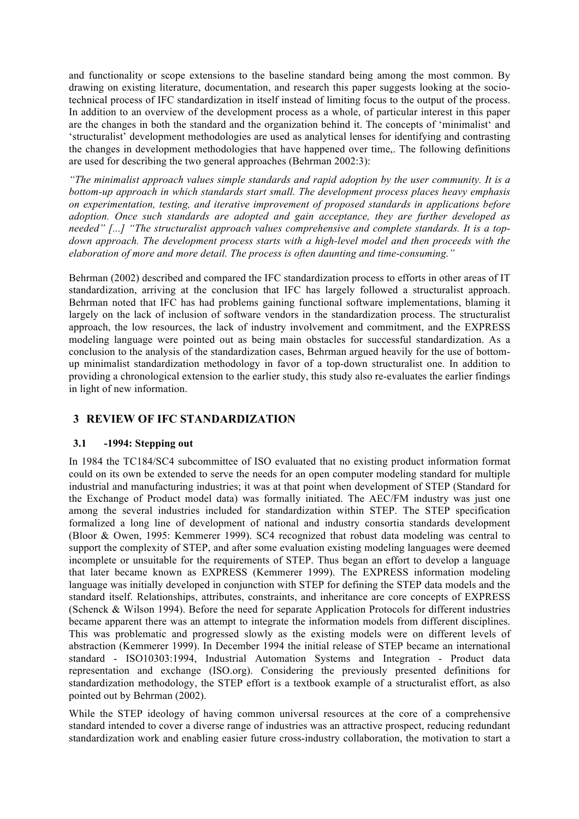and functionality or scope extensions to the baseline standard being among the most common. By drawing on existing literature, documentation, and research this paper suggests looking at the sociotechnical process of IFC standardization in itself instead of limiting focus to the output of the process. In addition to an overview of the development process as a whole, of particular interest in this paper are the changes in both the standard and the organization behind it. The concepts of 'minimalist' and 'structuralist' development methodologies are used as analytical lenses for identifying and contrasting the changes in development methodologies that have happened over time,. The following definitions are used for describing the two general approaches (Behrman 2002:3):

*"The minimalist approach values simple standards and rapid adoption by the user community. It is a bottom-up approach in which standards start small. The development process places heavy emphasis on experimentation, testing, and iterative improvement of proposed standards in applications before adoption. Once such standards are adopted and gain acceptance, they are further developed as needed" [...] "The structuralist approach values comprehensive and complete standards. It is a topdown approach. The development process starts with a high-level model and then proceeds with the elaboration of more and more detail. The process is often daunting and time-consuming."*

Behrman (2002) described and compared the IFC standardization process to efforts in other areas of IT standardization, arriving at the conclusion that IFC has largely followed a structuralist approach. Behrman noted that IFC has had problems gaining functional software implementations, blaming it largely on the lack of inclusion of software vendors in the standardization process. The structuralist approach, the low resources, the lack of industry involvement and commitment, and the EXPRESS modeling language were pointed out as being main obstacles for successful standardization. As a conclusion to the analysis of the standardization cases, Behrman argued heavily for the use of bottomup minimalist standardization methodology in favor of a top-down structuralist one. In addition to providing a chronological extension to the earlier study, this study also re-evaluates the earlier findings in light of new information.

## **3 REVIEW OF IFC STANDARDIZATION**

## **3.1 -1994: Stepping out**

In 1984 the TC184/SC4 subcommittee of ISO evaluated that no existing product information format could on its own be extended to serve the needs for an open computer modeling standard for multiple industrial and manufacturing industries; it was at that point when development of STEP (Standard for the Exchange of Product model data) was formally initiated. The AEC/FM industry was just one among the several industries included for standardization within STEP. The STEP specification formalized a long line of development of national and industry consortia standards development (Bloor & Owen, 1995: Kemmerer 1999). SC4 recognized that robust data modeling was central to support the complexity of STEP, and after some evaluation existing modeling languages were deemed incomplete or unsuitable for the requirements of STEP. Thus began an effort to develop a language that later became known as EXPRESS (Kemmerer 1999). The EXPRESS information modeling language was initially developed in conjunction with STEP for defining the STEP data models and the standard itself. Relationships, attributes, constraints, and inheritance are core concepts of EXPRESS (Schenck & Wilson 1994). Before the need for separate Application Protocols for different industries became apparent there was an attempt to integrate the information models from different disciplines. This was problematic and progressed slowly as the existing models were on different levels of abstraction (Kemmerer 1999). In December 1994 the initial release of STEP became an international standard - ISO10303:1994, Industrial Automation Systems and Integration - Product data representation and exchange (ISO.org). Considering the previously presented definitions for standardization methodology, the STEP effort is a textbook example of a structuralist effort, as also pointed out by Behrman (2002).

While the STEP ideology of having common universal resources at the core of a comprehensive standard intended to cover a diverse range of industries was an attractive prospect, reducing redundant standardization work and enabling easier future cross-industry collaboration, the motivation to start a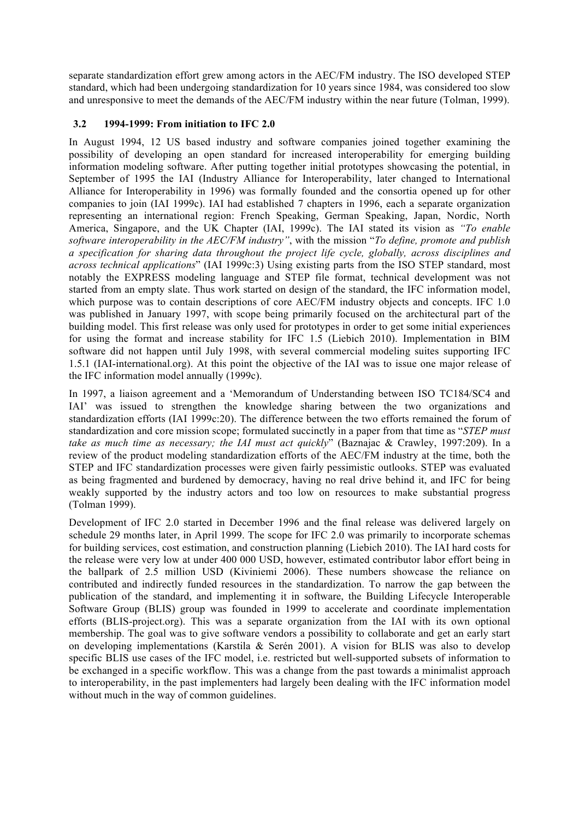separate standardization effort grew among actors in the AEC/FM industry. The ISO developed STEP standard, which had been undergoing standardization for 10 years since 1984, was considered too slow and unresponsive to meet the demands of the AEC/FM industry within the near future (Tolman, 1999).

## **3.2 1994-1999: From initiation to IFC 2.0**

In August 1994, 12 US based industry and software companies joined together examining the possibility of developing an open standard for increased interoperability for emerging building information modeling software. After putting together initial prototypes showcasing the potential, in September of 1995 the IAI (Industry Alliance for Interoperability, later changed to International Alliance for Interoperability in 1996) was formally founded and the consortia opened up for other companies to join (IAI 1999c). IAI had established 7 chapters in 1996, each a separate organization representing an international region: French Speaking, German Speaking, Japan, Nordic, North America, Singapore, and the UK Chapter (IAI, 1999c). The IAI stated its vision as *"To enable software interoperability in the AEC/FM industry"*, with the mission "*To define, promote and publish a specification for sharing data throughout the project life cycle, globally, across disciplines and across technical applications*" (IAI 1999c:3) Using existing parts from the ISO STEP standard, most notably the EXPRESS modeling language and STEP file format, technical development was not started from an empty slate. Thus work started on design of the standard, the IFC information model, which purpose was to contain descriptions of core AEC/FM industry objects and concepts. IFC 1.0 was published in January 1997, with scope being primarily focused on the architectural part of the building model. This first release was only used for prototypes in order to get some initial experiences for using the format and increase stability for IFC 1.5 (Liebich 2010). Implementation in BIM software did not happen until July 1998, with several commercial modeling suites supporting IFC 1.5.1 (IAI-international.org). At this point the objective of the IAI was to issue one major release of the IFC information model annually (1999c).

In 1997, a liaison agreement and a 'Memorandum of Understanding between ISO TC184/SC4 and IAI' was issued to strengthen the knowledge sharing between the two organizations and standardization efforts (IAI 1999c:20). The difference between the two efforts remained the forum of standardization and core mission scope; formulated succinctly in a paper from that time as "*STEP must take as much time as necessary; the IAI must act quickly*" (Baznajac & Crawley, 1997:209). In a review of the product modeling standardization efforts of the AEC/FM industry at the time, both the STEP and IFC standardization processes were given fairly pessimistic outlooks. STEP was evaluated as being fragmented and burdened by democracy, having no real drive behind it, and IFC for being weakly supported by the industry actors and too low on resources to make substantial progress (Tolman 1999).

Development of IFC 2.0 started in December 1996 and the final release was delivered largely on schedule 29 months later, in April 1999. The scope for IFC 2.0 was primarily to incorporate schemas for building services, cost estimation, and construction planning (Liebich 2010). The IAI hard costs for the release were very low at under 400 000 USD, however, estimated contributor labor effort being in the ballpark of 2.5 million USD (Kiviniemi 2006). These numbers showcase the reliance on contributed and indirectly funded resources in the standardization. To narrow the gap between the publication of the standard, and implementing it in software, the Building Lifecycle Interoperable Software Group (BLIS) group was founded in 1999 to accelerate and coordinate implementation efforts (BLIS-project.org). This was a separate organization from the IAI with its own optional membership. The goal was to give software vendors a possibility to collaborate and get an early start on developing implementations (Karstila & Serén 2001). A vision for BLIS was also to develop specific BLIS use cases of the IFC model, i.e. restricted but well-supported subsets of information to be exchanged in a specific workflow. This was a change from the past towards a minimalist approach to interoperability, in the past implementers had largely been dealing with the IFC information model without much in the way of common guidelines.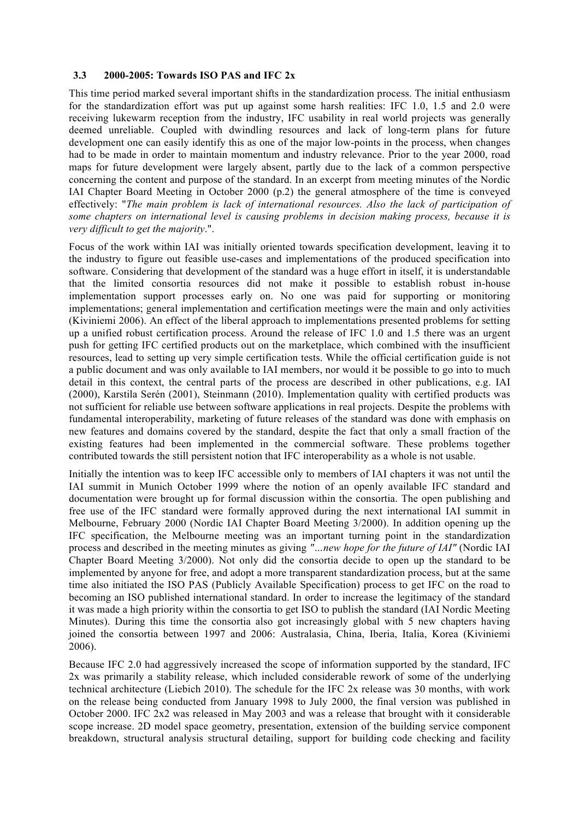#### **3.3 2000-2005: Towards ISO PAS and IFC 2x**

This time period marked several important shifts in the standardization process. The initial enthusiasm for the standardization effort was put up against some harsh realities: IFC 1.0, 1.5 and 2.0 were receiving lukewarm reception from the industry, IFC usability in real world projects was generally deemed unreliable. Coupled with dwindling resources and lack of long-term plans for future development one can easily identify this as one of the major low-points in the process, when changes had to be made in order to maintain momentum and industry relevance. Prior to the year 2000, road maps for future development were largely absent, partly due to the lack of a common perspective concerning the content and purpose of the standard. In an excerpt from meeting minutes of the Nordic IAI Chapter Board Meeting in October 2000 (p.2) the general atmosphere of the time is conveyed effectively: "*The main problem is lack of international resources. Also the lack of participation of some chapters on international level is causing problems in decision making process, because it is very difficult to get the majority*.".

Focus of the work within IAI was initially oriented towards specification development, leaving it to the industry to figure out feasible use-cases and implementations of the produced specification into software. Considering that development of the standard was a huge effort in itself, it is understandable that the limited consortia resources did not make it possible to establish robust in-house implementation support processes early on. No one was paid for supporting or monitoring implementations; general implementation and certification meetings were the main and only activities (Kiviniemi 2006). An effect of the liberal approach to implementations presented problems for setting up a unified robust certification process. Around the release of IFC 1.0 and 1.5 there was an urgent push for getting IFC certified products out on the marketplace, which combined with the insufficient resources, lead to setting up very simple certification tests. While the official certification guide is not a public document and was only available to IAI members, nor would it be possible to go into to much detail in this context, the central parts of the process are described in other publications, e.g. IAI (2000), Karstila Serén (2001), Steinmann (2010). Implementation quality with certified products was not sufficient for reliable use between software applications in real projects. Despite the problems with fundamental interoperability, marketing of future releases of the standard was done with emphasis on new features and domains covered by the standard, despite the fact that only a small fraction of the existing features had been implemented in the commercial software. These problems together contributed towards the still persistent notion that IFC interoperability as a whole is not usable.

Initially the intention was to keep IFC accessible only to members of IAI chapters it was not until the IAI summit in Munich October 1999 where the notion of an openly available IFC standard and documentation were brought up for formal discussion within the consortia. The open publishing and free use of the IFC standard were formally approved during the next international IAI summit in Melbourne, February 2000 (Nordic IAI Chapter Board Meeting 3/2000). In addition opening up the IFC specification, the Melbourne meeting was an important turning point in the standardization process and described in the meeting minutes as giving *"…new hope for the future of IAI"* (Nordic IAI Chapter Board Meeting 3/2000). Not only did the consortia decide to open up the standard to be implemented by anyone for free, and adopt a more transparent standardization process, but at the same time also initiated the ISO PAS (Publicly Available Specification) process to get IFC on the road to becoming an ISO published international standard. In order to increase the legitimacy of the standard it was made a high priority within the consortia to get ISO to publish the standard (IAI Nordic Meeting Minutes). During this time the consortia also got increasingly global with 5 new chapters having joined the consortia between 1997 and 2006: Australasia, China, Iberia, Italia, Korea (Kiviniemi 2006).

Because IFC 2.0 had aggressively increased the scope of information supported by the standard, IFC 2x was primarily a stability release, which included considerable rework of some of the underlying technical architecture (Liebich 2010). The schedule for the IFC 2x release was 30 months, with work on the release being conducted from January 1998 to July 2000, the final version was published in October 2000. IFC 2x2 was released in May 2003 and was a release that brought with it considerable scope increase. 2D model space geometry, presentation, extension of the building service component breakdown, structural analysis structural detailing, support for building code checking and facility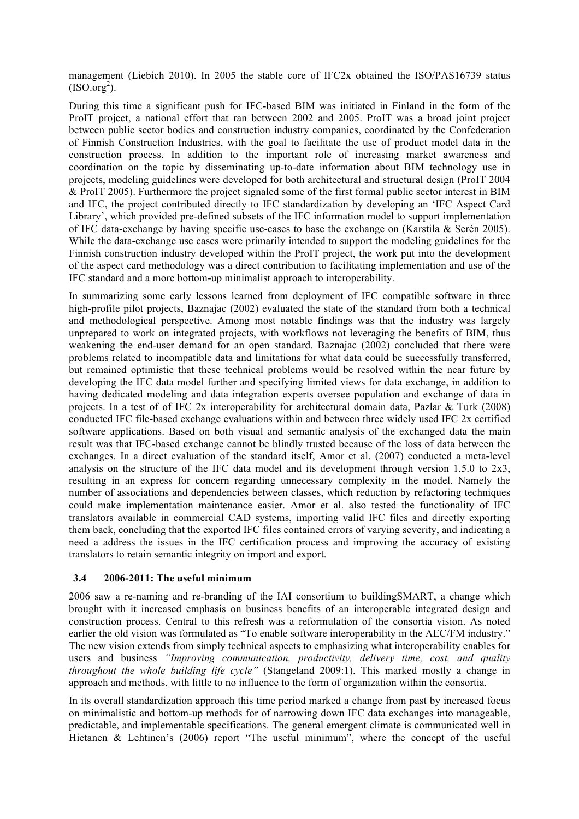management (Liebich 2010). In 2005 the stable core of IFC2x obtained the ISO/PAS16739 status  $(ISO.org<sup>2</sup>).$ 

During this time a significant push for IFC-based BIM was initiated in Finland in the form of the ProIT project, a national effort that ran between 2002 and 2005. ProIT was a broad joint project between public sector bodies and construction industry companies, coordinated by the Confederation of Finnish Construction Industries, with the goal to facilitate the use of product model data in the construction process. In addition to the important role of increasing market awareness and coordination on the topic by disseminating up-to-date information about BIM technology use in projects, modeling guidelines were developed for both architectural and structural design (ProIT 2004 & ProIT 2005). Furthermore the project signaled some of the first formal public sector interest in BIM and IFC, the project contributed directly to IFC standardization by developing an 'IFC Aspect Card Library', which provided pre-defined subsets of the IFC information model to support implementation of IFC data-exchange by having specific use-cases to base the exchange on (Karstila & Serén 2005). While the data-exchange use cases were primarily intended to support the modeling guidelines for the Finnish construction industry developed within the ProIT project, the work put into the development of the aspect card methodology was a direct contribution to facilitating implementation and use of the IFC standard and a more bottom-up minimalist approach to interoperability.

In summarizing some early lessons learned from deployment of IFC compatible software in three high-profile pilot projects, Baznajac (2002) evaluated the state of the standard from both a technical and methodological perspective. Among most notable findings was that the industry was largely unprepared to work on integrated projects, with workflows not leveraging the benefits of BIM, thus weakening the end-user demand for an open standard. Baznajac (2002) concluded that there were problems related to incompatible data and limitations for what data could be successfully transferred, but remained optimistic that these technical problems would be resolved within the near future by developing the IFC data model further and specifying limited views for data exchange, in addition to having dedicated modeling and data integration experts oversee population and exchange of data in projects. In a test of of IFC 2x interoperability for architectural domain data, Pazlar & Turk (2008) conducted IFC file-based exchange evaluations within and between three widely used IFC 2x certified software applications. Based on both visual and semantic analysis of the exchanged data the main result was that IFC-based exchange cannot be blindly trusted because of the loss of data between the exchanges. In a direct evaluation of the standard itself, Amor et al. (2007) conducted a meta-level analysis on the structure of the IFC data model and its development through version  $1.5.0$  to  $2x3$ , resulting in an express for concern regarding unnecessary complexity in the model. Namely the number of associations and dependencies between classes, which reduction by refactoring techniques could make implementation maintenance easier. Amor et al. also tested the functionality of IFC translators available in commercial CAD systems, importing valid IFC files and directly exporting them back, concluding that the exported IFC files contained errors of varying severity, and indicating a need a address the issues in the IFC certification process and improving the accuracy of existing translators to retain semantic integrity on import and export.

#### **3.4 2006-2011: The useful minimum**

2006 saw a re-naming and re-branding of the IAI consortium to buildingSMART, a change which brought with it increased emphasis on business benefits of an interoperable integrated design and construction process. Central to this refresh was a reformulation of the consortia vision. As noted earlier the old vision was formulated as "To enable software interoperability in the AEC/FM industry." The new vision extends from simply technical aspects to emphasizing what interoperability enables for users and business *"Improving communication, productivity, delivery time, cost, and quality throughout the whole building life cycle"* (Stangeland 2009:1). This marked mostly a change in approach and methods, with little to no influence to the form of organization within the consortia.

In its overall standardization approach this time period marked a change from past by increased focus on minimalistic and bottom-up methods for of narrowing down IFC data exchanges into manageable, predictable, and implementable specifications. The general emergent climate is communicated well in Hietanen & Lehtinen's (2006) report "The useful minimum", where the concept of the useful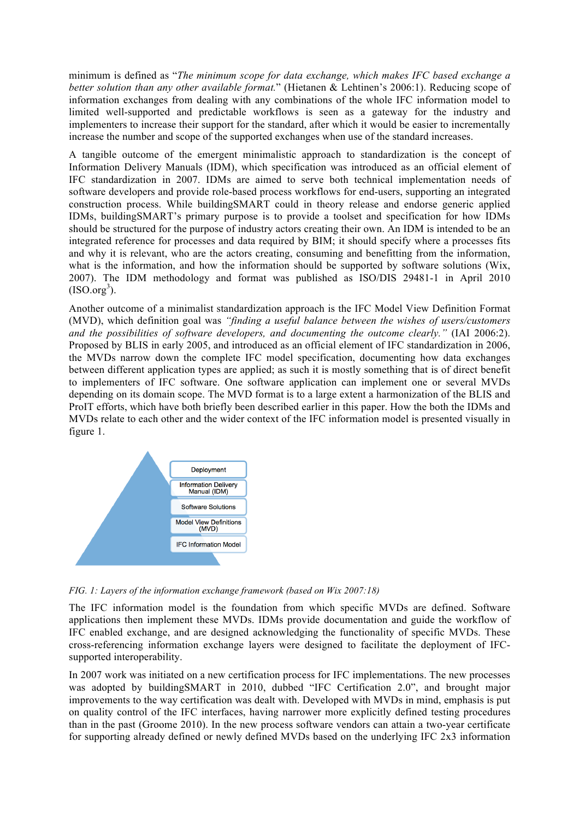minimum is defined as "*The minimum scope for data exchange, which makes IFC based exchange a better solution than any other available format.*" (Hietanen & Lehtinen's 2006:1). Reducing scope of information exchanges from dealing with any combinations of the whole IFC information model to limited well-supported and predictable workflows is seen as a gateway for the industry and implementers to increase their support for the standard, after which it would be easier to incrementally increase the number and scope of the supported exchanges when use of the standard increases.

A tangible outcome of the emergent minimalistic approach to standardization is the concept of Information Delivery Manuals (IDM), which specification was introduced as an official element of IFC standardization in 2007. IDMs are aimed to serve both technical implementation needs of software developers and provide role-based process workflows for end-users, supporting an integrated construction process. While buildingSMART could in theory release and endorse generic applied IDMs, buildingSMART's primary purpose is to provide a toolset and specification for how IDMs should be structured for the purpose of industry actors creating their own. An IDM is intended to be an integrated reference for processes and data required by BIM; it should specify where a processes fits and why it is relevant, who are the actors creating, consuming and benefitting from the information, what is the information, and how the information should be supported by software solutions (Wix, 2007). The IDM methodology and format was published as ISO/DIS 29481-1 in April 2010  $(ISO.org<sup>3</sup>).$ 

Another outcome of a minimalist standardization approach is the IFC Model View Definition Format (MVD), which definition goal was *"finding a useful balance between the wishes of users/customers and the possibilities of software developers, and documenting the outcome clearly."* (IAI 2006:2). Proposed by BLIS in early 2005, and introduced as an official element of IFC standardization in 2006, the MVDs narrow down the complete IFC model specification, documenting how data exchanges between different application types are applied; as such it is mostly something that is of direct benefit to implementers of IFC software. One software application can implement one or several MVDs depending on its domain scope. The MVD format is to a large extent a harmonization of the BLIS and ProIT efforts, which have both briefly been described earlier in this paper. How the both the IDMs and MVDs relate to each other and the wider context of the IFC information model is presented visually in figure 1.



*FIG. 1: Layers of the information exchange framework (based on Wix 2007:18)*

The IFC information model is the foundation from which specific MVDs are defined. Software applications then implement these MVDs. IDMs provide documentation and guide the workflow of IFC enabled exchange, and are designed acknowledging the functionality of specific MVDs. These cross-referencing information exchange layers were designed to facilitate the deployment of IFCsupported interoperability.

In 2007 work was initiated on a new certification process for IFC implementations. The new processes was adopted by building SMART in 2010, dubbed "IFC Certification 2.0", and brought major improvements to the way certification was dealt with. Developed with MVDs in mind, emphasis is put on quality control of the IFC interfaces, having narrower more explicitly defined testing procedures than in the past (Groome 2010). In the new process software vendors can attain a two-year certificate for supporting already defined or newly defined MVDs based on the underlying IFC 2x3 information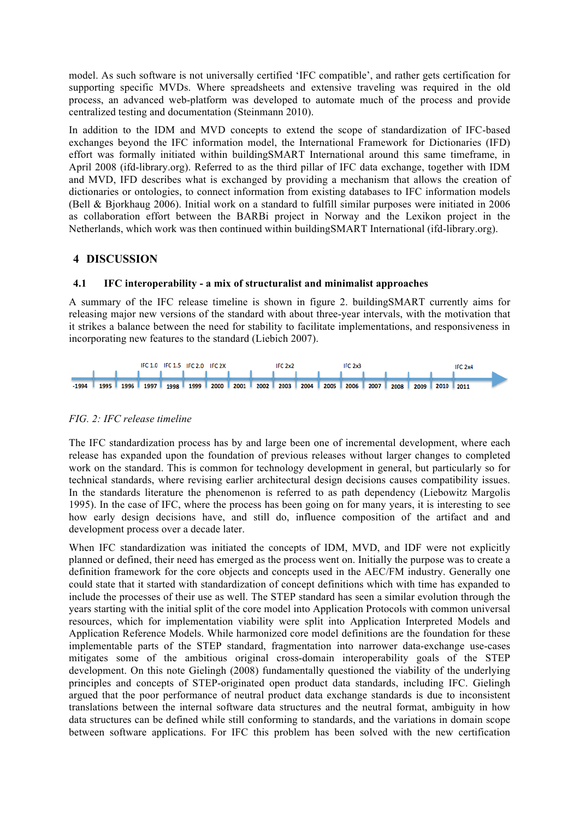model. As such software is not universally certified 'IFC compatible', and rather gets certification for supporting specific MVDs. Where spreadsheets and extensive traveling was required in the old process, an advanced web-platform was developed to automate much of the process and provide centralized testing and documentation (Steinmann 2010).

In addition to the IDM and MVD concepts to extend the scope of standardization of IFC-based exchanges beyond the IFC information model, the International Framework for Dictionaries (IFD) effort was formally initiated within buildingSMART International around this same timeframe, in April 2008 (ifd-library.org). Referred to as the third pillar of IFC data exchange, together with IDM and MVD, IFD describes what is exchanged by providing a mechanism that allows the creation of dictionaries or ontologies, to connect information from existing databases to IFC information models (Bell & Bjorkhaug 2006). Initial work on a standard to fulfill similar purposes were initiated in 2006 as collaboration effort between the BARBi project in Norway and the Lexikon project in the Netherlands, which work was then continued within buildingSMART International (ifd-library.org).

## **4 DISCUSSION**

## **4.1 IFC interoperability - a mix of structuralist and minimalist approaches**

A summary of the IFC release timeline is shown in figure 2. buildingSMART currently aims for releasing major new versions of the standard with about three-year intervals, with the motivation that it strikes a balance between the need for stability to facilitate implementations, and responsiveness in incorporating new features to the standard (Liebich 2007).



#### *FIG. 2: IFC release timeline*

The IFC standardization process has by and large been one of incremental development, where each release has expanded upon the foundation of previous releases without larger changes to completed work on the standard. This is common for technology development in general, but particularly so for technical standards, where revising earlier architectural design decisions causes compatibility issues. In the standards literature the phenomenon is referred to as path dependency (Liebowitz Margolis 1995). In the case of IFC, where the process has been going on for many years, it is interesting to see how early design decisions have, and still do, influence composition of the artifact and and development process over a decade later.

When IFC standardization was initiated the concepts of IDM, MVD, and IDF were not explicitly planned or defined, their need has emerged as the process went on. Initially the purpose was to create a definition framework for the core objects and concepts used in the AEC/FM industry. Generally one could state that it started with standardization of concept definitions which with time has expanded to include the processes of their use as well. The STEP standard has seen a similar evolution through the years starting with the initial split of the core model into Application Protocols with common universal resources, which for implementation viability were split into Application Interpreted Models and Application Reference Models. While harmonized core model definitions are the foundation for these implementable parts of the STEP standard, fragmentation into narrower data-exchange use-cases mitigates some of the ambitious original cross-domain interoperability goals of the STEP development. On this note Gielingh (2008) fundamentally questioned the viability of the underlying principles and concepts of STEP-originated open product data standards, including IFC. Gielingh argued that the poor performance of neutral product data exchange standards is due to inconsistent translations between the internal software data structures and the neutral format, ambiguity in how data structures can be defined while still conforming to standards, and the variations in domain scope between software applications. For IFC this problem has been solved with the new certification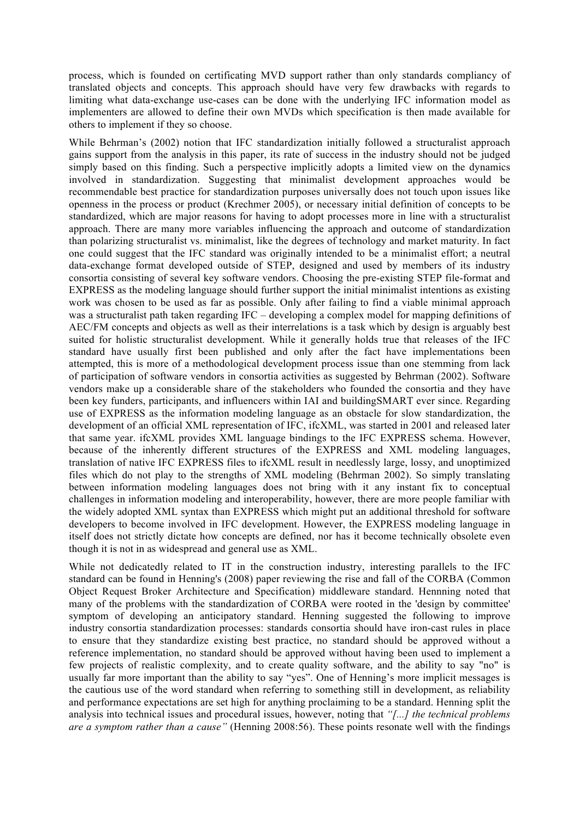process, which is founded on certificating MVD support rather than only standards compliancy of translated objects and concepts. This approach should have very few drawbacks with regards to limiting what data-exchange use-cases can be done with the underlying IFC information model as implementers are allowed to define their own MVDs which specification is then made available for others to implement if they so choose.

While Behrman's (2002) notion that IFC standardization initially followed a structuralist approach gains support from the analysis in this paper, its rate of success in the industry should not be judged simply based on this finding. Such a perspective implicitly adopts a limited view on the dynamics involved in standardization. Suggesting that minimalist development approaches would be recommendable best practice for standardization purposes universally does not touch upon issues like openness in the process or product (Krechmer 2005), or necessary initial definition of concepts to be standardized, which are major reasons for having to adopt processes more in line with a structuralist approach. There are many more variables influencing the approach and outcome of standardization than polarizing structuralist vs. minimalist, like the degrees of technology and market maturity. In fact one could suggest that the IFC standard was originally intended to be a minimalist effort; a neutral data-exchange format developed outside of STEP, designed and used by members of its industry consortia consisting of several key software vendors. Choosing the pre-existing STEP file-format and EXPRESS as the modeling language should further support the initial minimalist intentions as existing work was chosen to be used as far as possible. Only after failing to find a viable minimal approach was a structuralist path taken regarding IFC – developing a complex model for mapping definitions of AEC/FM concepts and objects as well as their interrelations is a task which by design is arguably best suited for holistic structuralist development. While it generally holds true that releases of the IFC standard have usually first been published and only after the fact have implementations been attempted, this is more of a methodological development process issue than one stemming from lack of participation of software vendors in consortia activities as suggested by Behrman (2002). Software vendors make up a considerable share of the stakeholders who founded the consortia and they have been key funders, participants, and influencers within IAI and buildingSMART ever since. Regarding use of EXPRESS as the information modeling language as an obstacle for slow standardization, the development of an official XML representation of IFC, ifcXML, was started in 2001 and released later that same year. ifcXML provides XML language bindings to the IFC EXPRESS schema. However, because of the inherently different structures of the EXPRESS and XML modeling languages, translation of native IFC EXPRESS files to ifcXML result in needlessly large, lossy, and unoptimized files which do not play to the strengths of XML modeling (Behrman 2002). So simply translating between information modeling languages does not bring with it any instant fix to conceptual challenges in information modeling and interoperability, however, there are more people familiar with the widely adopted XML syntax than EXPRESS which might put an additional threshold for software developers to become involved in IFC development. However, the EXPRESS modeling language in itself does not strictly dictate how concepts are defined, nor has it become technically obsolete even though it is not in as widespread and general use as XML.

While not dedicatedly related to IT in the construction industry, interesting parallels to the IFC standard can be found in Henning's (2008) paper reviewing the rise and fall of the CORBA (Common Object Request Broker Architecture and Specification) middleware standard. Hennning noted that many of the problems with the standardization of CORBA were rooted in the 'design by committee' symptom of developing an anticipatory standard. Henning suggested the following to improve industry consortia standardization processes: standards consortia should have iron-cast rules in place to ensure that they standardize existing best practice, no standard should be approved without a reference implementation, no standard should be approved without having been used to implement a few projects of realistic complexity, and to create quality software, and the ability to say "no" is usually far more important than the ability to say "yes". One of Henning's more implicit messages is the cautious use of the word standard when referring to something still in development, as reliability and performance expectations are set high for anything proclaiming to be a standard. Henning split the analysis into technical issues and procedural issues, however, noting that *"[...] the technical problems are a symptom rather than a cause"* (Henning 2008:56). These points resonate well with the findings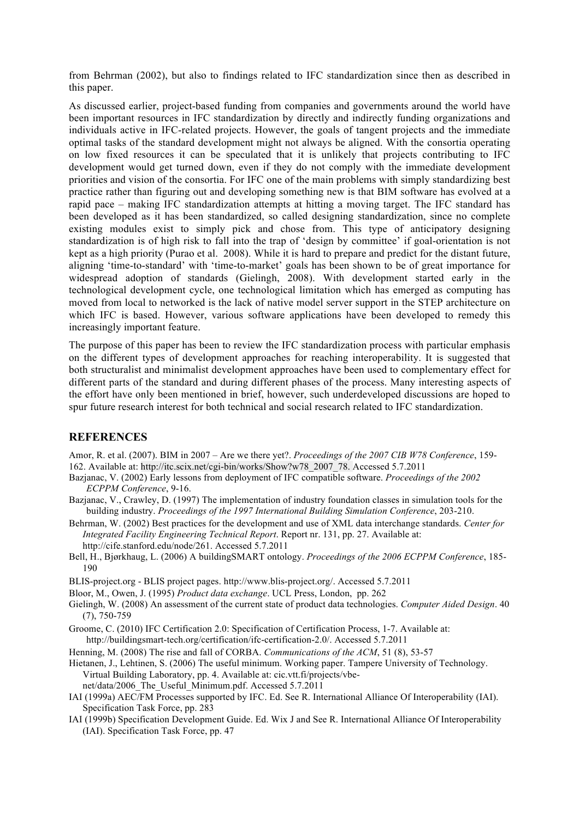from Behrman (2002), but also to findings related to IFC standardization since then as described in this paper.

As discussed earlier, project-based funding from companies and governments around the world have been important resources in IFC standardization by directly and indirectly funding organizations and individuals active in IFC-related projects. However, the goals of tangent projects and the immediate optimal tasks of the standard development might not always be aligned. With the consortia operating on low fixed resources it can be speculated that it is unlikely that projects contributing to IFC development would get turned down, even if they do not comply with the immediate development priorities and vision of the consortia. For IFC one of the main problems with simply standardizing best practice rather than figuring out and developing something new is that BIM software has evolved at a rapid pace – making IFC standardization attempts at hitting a moving target. The IFC standard has been developed as it has been standardized, so called designing standardization, since no complete existing modules exist to simply pick and chose from. This type of anticipatory designing standardization is of high risk to fall into the trap of 'design by committee' if goal-orientation is not kept as a high priority (Purao et al. 2008). While it is hard to prepare and predict for the distant future, aligning 'time-to-standard' with 'time-to-market' goals has been shown to be of great importance for widespread adoption of standards (Gielingh, 2008). With development started early in the technological development cycle, one technological limitation which has emerged as computing has moved from local to networked is the lack of native model server support in the STEP architecture on which IFC is based. However, various software applications have been developed to remedy this increasingly important feature.

The purpose of this paper has been to review the IFC standardization process with particular emphasis on the different types of development approaches for reaching interoperability. It is suggested that both structuralist and minimalist development approaches have been used to complementary effect for different parts of the standard and during different phases of the process. Many interesting aspects of the effort have only been mentioned in brief, however, such underdeveloped discussions are hoped to spur future research interest for both technical and social research related to IFC standardization.

#### **REFERENCES**

Amor, R. et al. (2007). BIM in 2007 – Are we there yet?. *Proceedings of the 2007 CIB W78 Conference*, 159- 162. Available at: http://itc.scix.net/cgi-bin/works/Show?w78\_2007\_78. Accessed 5.7.2011

Bazjanac, V. (2002) Early lessons from deployment of IFC compatible software. *Proceedings of the 2002 ECPPM Conference*, 9-16.

Bazjanac, V., Crawley, D. (1997) The implementation of industry foundation classes in simulation tools for the building industry. *Proceedings of the 1997 International Building Simulation Conference*, 203-210.

Behrman, W. (2002) Best practices for the development and use of XML data interchange standards. *Center for Integrated Facility Engineering Technical Report*. Report nr. 131, pp. 27. Available at: http://cife.stanford.edu/node/261. Accessed 5.7.2011

Bell, H., Bjørkhaug, L. (2006) A buildingSMART ontology. *Proceedings of the 2006 ECPPM Conference*, 185- 190

BLIS-project.org - BLIS project pages. http://www.blis-project.org/. Accessed 5.7.2011

Bloor, M., Owen, J. (1995) *Product data exchange*. UCL Press, London, pp. 262

Gielingh, W. (2008) An assessment of the current state of product data technologies. *Computer Aided Design*. 40 (7), 750-759

Groome, C. (2010) IFC Certification 2.0: Specification of Certification Process, 1-7. Available at: http://buildingsmart-tech.org/certification/ifc-certification-2.0/. Accessed 5.7.2011

Henning, M. (2008) The rise and fall of CORBA. *Communications of the ACM*, 51 (8), 53-57

Hietanen, J., Lehtinen, S. (2006) The useful minimum. Working paper. Tampere University of Technology. Virtual Building Laboratory, pp. 4. Available at: cic.vtt.fi/projects/vbe-

net/data/2006\_The\_Useful\_Minimum.pdf. Accessed 5.7.2011

IAI (1999a) AEC/FM Processes supported by IFC. Ed. See R. International Alliance Of Interoperability (IAI). Specification Task Force, pp. 283

IAI (1999b) Specification Development Guide. Ed. Wix J and See R. International Alliance Of Interoperability (IAI). Specification Task Force, pp. 47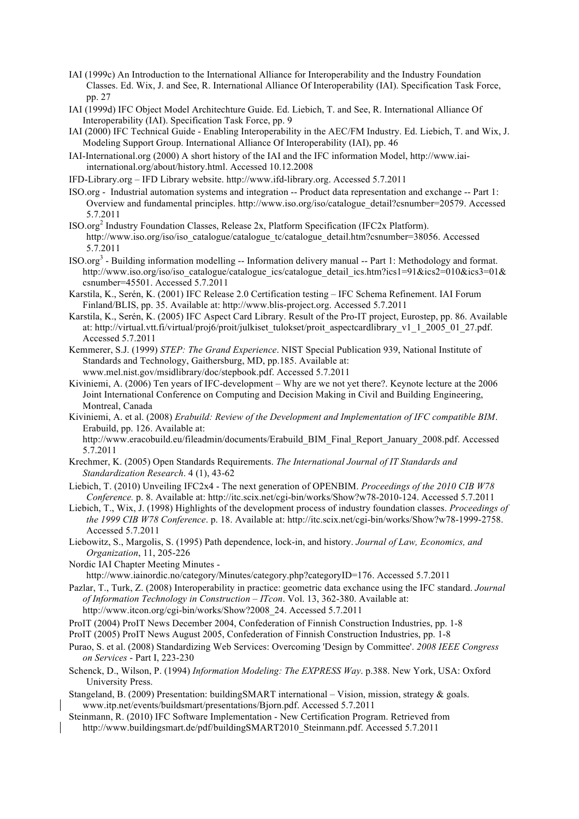- IAI (1999c) An Introduction to the International Alliance for Interoperability and the Industry Foundation Classes. Ed. Wix, J. and See, R. International Alliance Of Interoperability (IAI). Specification Task Force, pp. 27
- IAI (1999d) IFC Object Model Architechture Guide. Ed. Liebich, T. and See, R. International Alliance Of Interoperability (IAI). Specification Task Force, pp. 9
- IAI (2000) IFC Technical Guide Enabling Interoperability in the AEC/FM Industry. Ed. Liebich, T. and Wix, J. Modeling Support Group. International Alliance Of Interoperability (IAI), pp. 46
- IAI-International.org (2000) A short history of the IAI and the IFC information Model, http://www.iaiinternational.org/about/history.html. Accessed 10.12.2008
- IFD-Library.org IFD Library website. http://www.ifd-library.org. Accessed 5.7.2011
- ISO.org Industrial automation systems and integration -- Product data representation and exchange -- Part 1: Overview and fundamental principles. http://www.iso.org/iso/catalogue\_detail?csnumber=20579. Accessed 5.7.2011
- ISO.org<sup>2</sup> Industry Foundation Classes, Release 2x, Platform Specification (IFC2x Platform). http://www.iso.org/iso/iso\_catalogue/catalogue\_tc/catalogue\_detail.htm?csnumber=38056. Accessed 5.7.2011
- ISO.org<sup>3</sup> Building information modelling -- Information delivery manual -- Part 1: Methodology and format. http://www.iso.org/iso/iso\_catalogue/catalogue\_ics/catalogue\_detail\_ics.htm?ics1=91&ics2=010&ics3=01& csnumber=45501. Accessed 5.7.2011
- Karstila, K., Serén, K. (2001) IFC Release 2.0 Certification testing IFC Schema Refinement. IAI Forum Finland/BLIS, pp. 35. Available at: http://www.blis-project.org. Accessed 5.7.2011
- Karstila, K., Serén, K. (2005) IFC Aspect Card Library. Result of the Pro-IT project, Eurostep, pp. 86. Available at: http://virtual.vtt.fi/virtual/proj6/proit/julkiset\_tulokset/proit\_aspectcardlibrary\_v1\_1\_2005\_01\_27.pdf. Accessed 5.7.2011
- Kemmerer, S.J. (1999) *STEP: The Grand Experience*. NIST Special Publication 939, National Institute of Standards and Technology, Gaithersburg, MD, pp.185. Available at: www.mel.nist.gov/msidlibrary/doc/stepbook.pdf. Accessed 5.7.2011
- Kiviniemi, A. (2006) Ten years of IFC-development Why are we not yet there?. Keynote lecture at the 2006 Joint International Conference on Computing and Decision Making in Civil and Building Engineering, Montreal, Canada
- Kiviniemi, A. et al. (2008) *Erabuild: Review of the Development and Implementation of IFC compatible BIM*. Erabuild, pp. 126. Available at:

http://www.eracobuild.eu/fileadmin/documents/Erabuild\_BIM\_Final\_Report\_January\_2008.pdf. Accessed 5.7.2011

- Krechmer, K. (2005) Open Standards Requirements. *The International Journal of IT Standards and Standardization Research*. 4 (1), 43-62
- Liebich, T. (2010) Unveiling IFC2x4 The next generation of OPENBIM. *Proceedings of the 2010 CIB W78 Conference.* p. 8. Available at: http://itc.scix.net/cgi-bin/works/Show?w78-2010-124. Accessed 5.7.2011
- Liebich, T., Wix, J. (1998) Highlights of the development process of industry foundation classes. *Proceedings of the 1999 CIB W78 Conference*. p. 18. Available at: http://itc.scix.net/cgi-bin/works/Show?w78-1999-2758. Accessed 5.7.2011
- Liebowitz, S., Margolis, S. (1995) Path dependence, lock-in, and history. *Journal of Law, Economics, and Organization*, 11, 205-226
- Nordic IAI Chapter Meeting Minutes http://www.iainordic.no/category/Minutes/category.php?categoryID=176. Accessed 5.7.2011
- Pazlar, T., Turk, Z. (2008) Interoperability in practice: geometric data exchance using the IFC standard. *Journal of Information Technology in Construction – ITcon*. Vol. 13, 362-380. Available at: http://www.itcon.org/cgi-bin/works/Show?2008\_24. Accessed 5.7.2011
- ProIT (2004) ProIT News December 2004, Confederation of Finnish Construction Industries, pp. 1-8
- ProIT (2005) ProIT News August 2005, Confederation of Finnish Construction Industries, pp. 1-8
- Purao, S. et al. (2008) Standardizing Web Services: Overcoming 'Design by Committee'. *2008 IEEE Congress on Services* - Part I, 223-230
- Schenck, D., Wilson, P. (1994) *Information Modeling: The EXPRESS Way*. p.388. New York, USA: Oxford University Press.
- Stangeland, B. (2009) Presentation: buildingSMART international Vision, mission, strategy & goals. www.itp.net/events/buildsmart/presentations/Bjorn.pdf. Accessed 5.7.2011
- Steinmann, R. (2010) IFC Software Implementation New Certification Program. Retrieved from http://www.buildingsmart.de/pdf/buildingSMART2010\_Steinmann.pdf. Accessed 5.7.2011